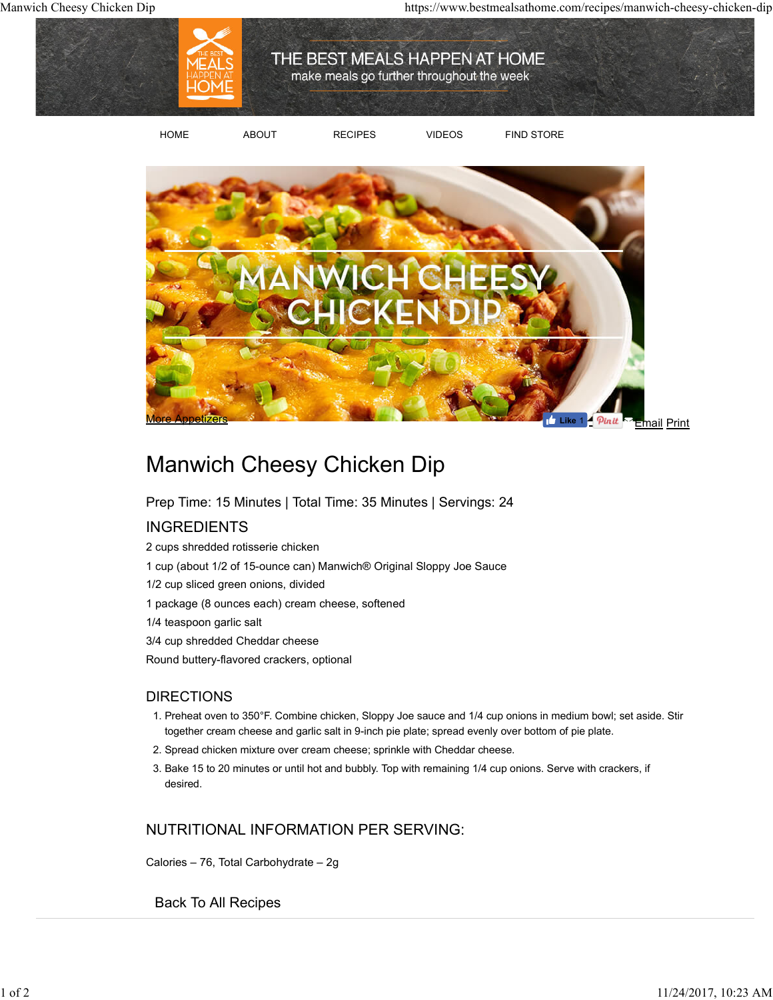

HOME ABOUT RECIPES VIDEOS FIND STORE



## Manwich Cheesy Chicken Dip

Prep Time: 15 Minutes | Total Time: 35 Minutes | Servings: 24

## INGREDIENTS

2 cups shredded rotisserie chicken 1 cup (about 1/2 of 15-ounce can) Manwich® Original Sloppy Joe Sauce 1/2 cup sliced green onions, divided 1 package (8 ounces each) cream cheese, softened 1/4 teaspoon garlic salt 3/4 cup shredded Cheddar cheese Round buttery-flavored crackers, optional

## DIRECTIONS

- 1. Preheat oven to 350°F. Combine chicken, Sloppy Joe sauce and 1/4 cup onions in medium bowl; set aside. Stir together cream cheese and garlic salt in 9-inch pie plate; spread evenly over bottom of pie plate.
- 2. Spread chicken mixture over cream cheese; sprinkle with Cheddar cheese.
- 3. Bake 15 to 20 minutes or until hot and bubbly. Top with remaining 1/4 cup onions. Serve with crackers, if desired.

## NUTRITIONAL INFORMATION PER SERVING:

Calories – 76, Total Carbohydrate – 2g

Back To All Recipes